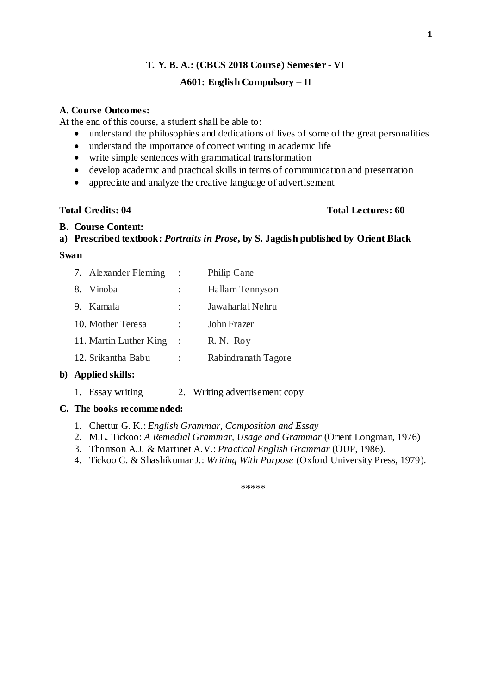## **A601: English Compulsory – II**

#### **A. Course Outcomes:**

At the end of this course, a student shall be able to:

- understand the philosophies and dedications of lives of some of the great personalities
- understand the importance of correct writing in academic life
- write simple sentences with grammatical transformation
- develop academic and practical skills in terms of communication and presentation
- appreciate and analyze the creative language of advertisement

### **Total Credits: 04 Total Lectures: 60**

#### **B. Course Content:**

### **a) Prescribed textbook:** *Portraits in Prose***, by S. Jagdish published by Orient Black**

#### **Swan**

| 7. Alexander Fleming   | $\mathbb{R}^2$ | Philip Cane         |
|------------------------|----------------|---------------------|
| 8. Vinoba              |                | Hallam Tennyson     |
| 9. Kamala              |                | Jawaharlal Nehru    |
| 10. Mother Teresa      | $\ddot{\cdot}$ | John Frazer         |
| 11. Martin Luther King | - 1            | R. N. Roy           |
| 12. Srikantha Babu     |                | Rabindranath Tagore |

## **b) Applied skills:**

1. Essay writing 2. Writing advertisement copy

## **C. The books recommended:**

- 1. Chettur G. K.: *English Grammar, Composition and Essay*
- 2. M.L. Tickoo: *A Remedial Grammar, Usage and Grammar* (Orient Longman, 1976)
- 3. Thomson A.J. & Martinet A.V.: *Practical English Grammar* (OUP, 1986).
- 4. Tickoo C. & Shashikumar J.: *Writing With Purpose* (Oxford University Press, 1979).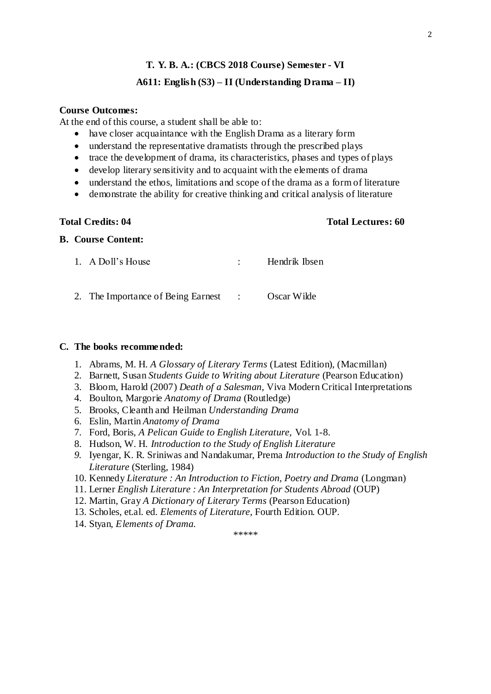## **A611: English (S3) – II (Understanding Drama – II)**

#### **Course Outcomes:**

At the end of this course, a student shall be able to:

- have closer acquaintance with the English Drama as a literary form
- understand the representative dramatists through the prescribed plays
- trace the development of drama, its characteristics, phases and types of plays
- develop literary sensitivity and to acquaint with the elements of drama
- understand the ethos, limitations and scope of the drama as a form of literature
- demonstrate the ability for creative thinking and critical analysis of literature

#### **Total Credits: 04 Total Lectures: 60**

### **B. Course Content:**

| 1. A Doll's House                                | Hendrik Ibsen |
|--------------------------------------------------|---------------|
| 2. The Importance of Being Earnest : Oscar Wilde |               |

#### **C. The books recommended:**

- 1. Abrams, M. H. *A Glossary of Literary Terms* (Latest Edition), (Macmillan)
- 2. Barnett, Susan *Students Guide to Writing about Literature* (Pearson Education)
- 3. Bloom, Harold (2007) *Death of a Salesman*, Viva Modern Critical Interpretations
- 4. Boulton, Margorie *Anatomy of Drama* (Routledge)
- 5. Brooks, Cleanth and Heilman *Understanding Drama*
- 6. Eslin, Martin *Anatomy of Drama*
- 7. Ford, Boris, *A Pelican Guide to English Literature,* Vol. 1-8.
- 8. Hudson, W. H. *Introduction to the Study of English Literature*
- *9.* Iyengar, K. R. Sriniwas and Nandakumar, Prema *Introduction to the Study of English Literature* (Sterling, 1984)
- 10. Kennedy *Literature : An Introduction to Fiction, Poetry and Drama* (Longman)
- 11. Lerner *English Literature : An Interpretation for Students Abroad* (OUP)
- 12. Martin, Gray *A Dictionary of Literary Terms* (Pearson Education)
- 13. Scholes, et.al. ed. *Elements of Literature*, Fourth Edition. OUP.
- 14. Styan, *Elements of Drama.*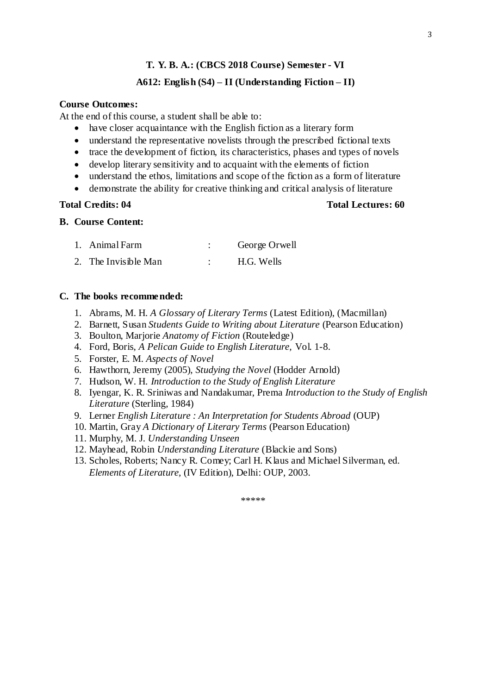## **A612: English (S4) – II (Understanding Fiction – II)**

## **Course Outcomes:**

At the end of this course, a student shall be able to:

- have closer acquaintance with the English fiction as a literary form
- understand the representative novelists through the prescribed fictional texts
- trace the development of fiction, its characteristics, phases and types of novels
- develop literary sensitivity and to acquaint with the elements of fiction
- understand the ethos, limitations and scope of the fiction as a form of literature
- demonstrate the ability for creative thinking and critical analysis of literature

**Total Credits: 04 Total Lectures: 60**

#### **B. Course Content:**

| 1. Animal Farm       | George Orwell |
|----------------------|---------------|
| 2. The Invisible Man | H.G. Wells    |

#### **C. The books recommended:**

- 1. Abrams, M. H. *A Glossary of Literary Terms* (Latest Edition), (Macmillan)
- 2. Barnett, Susan *Students Guide to Writing about Literature* (Pearson Education)
- 3. Boulton, Marjorie *Anatomy of Fiction* (Routeledge)
- 4. Ford, Boris, *A Pelican Guide to English Literature,* Vol. 1-8.
- 5. Forster, E. M. *Aspects of Novel*
- 6. Hawthorn, Jeremy (2005), *Studying the Novel* (Hodder Arnold)
- 7. Hudson, W. H. *Introduction to the Study of English Literature*
- 8. Iyengar, K. R. Sriniwas and Nandakumar, Prema *Introduction to the Study of English Literature* (Sterling, 1984)
- 9. Lerner *English Literature : An Interpretation for Students Abroad* (OUP)
- 10. Martin, Gray *A Dictionary of Literary Terms* (Pearson Education)
- 11. Murphy, M. J. *Understanding Unseen*
- 12. Mayhead, Robin *Understanding Literature* (Blackie and Sons)
- 13. Scholes, Roberts; Nancy R. Comey; Carl H. Klaus and Michael Silverman, ed. *Elements of Literature,* (IV Edition), Delhi: OUP, 2003.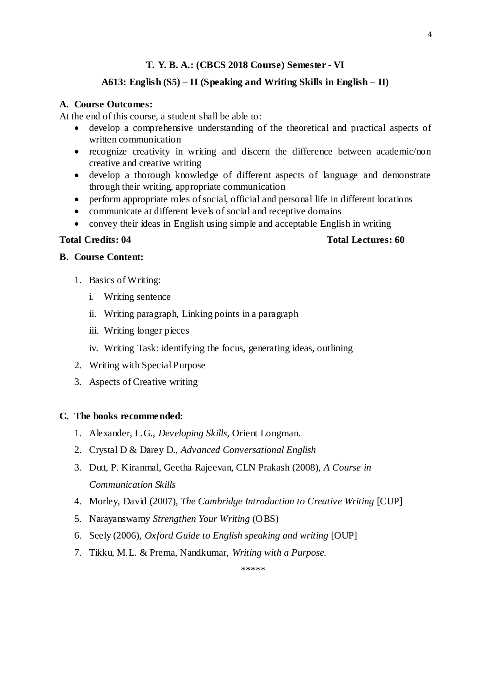## **A613: English (S5) – II (Speaking and Writing Skills in English – II)**

### **A. Course Outcomes:**

At the end of this course, a student shall be able to:

- develop a comprehensive understanding of the theoretical and practical aspects of written communication
- recognize creativity in writing and discern the difference between academic/non creative and creative writing
- develop a thorough knowledge of different aspects of language and demonstrate through their writing, appropriate communication
- perform appropriate roles of social, official and personal life in different locations
- communicate at different levels of social and receptive domains
- convey their ideas in English using simple and acceptable English in writing

#### **Total Credits: 04 Total Lectures: 60**

# **B. Course Content:**

- 1. Basics of Writing:
	- i. Writing sentence
	- ii. Writing paragraph, Linking points in a paragraph
	- iii. Writing longer pieces
	- iv. Writing Task: identifying the focus, generating ideas, outlining
- 2. Writing with Special Purpose
- 3. Aspects of Creative writing

#### **C. The books recommended:**

- 1. Alexander, L.G., *Developing Skills,* Orient Longman.
- 2. Crystal D & Darey D., *Advanced Conversational English*
- 3. Dutt, P. Kiranmal, Geetha Rajeevan, CLN Prakash (2008), *A Course in Communication Skills*
- 4. Morley, David (2007), *The Cambridge Introduction to Creative Writing* [CUP]
- 5. Narayanswamy *Strengthen Your Writing* (OBS)
- 6. Seely (2006), *Oxford Guide to English speaking and writing* [OUP]
- 7. Tikku, M.L. & Prema, Nandkumar, *Writing with a Purpose.*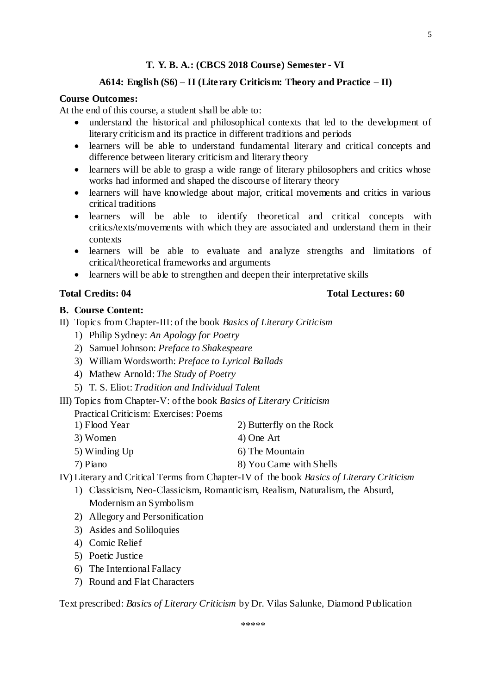#### **A614: English (S6) – II (Literary Criticism: Theory and Practice – II)**

# **Course Outcomes:**

At the end of this course, a student shall be able to:

- understand the historical and philosophical contexts that led to the development of literary criticism and its practice in different traditions and periods
- learners will be able to understand fundamental literary and critical concepts and difference between literary criticism and literary theory
- learners will be able to grasp a wide range of literary philosophers and critics whose works had informed and shaped the discourse of literary theory
- learners will have knowledge about major, critical movements and critics in various critical traditions
- learners will be able to identify theoretical and critical concepts with critics/texts/movements with which they are associated and understand them in their contexts
- learners will be able to evaluate and analyze strengths and limitations of critical/theoretical frameworks and arguments
- learners will be able to strengthen and deepen their interpretative skills

#### **B. Course Content:**

- II) Topics from Chapter-III: of the book *Basics of Literary Criticism*
	- 1) Philip Sydney: *An Apology for Poetry*
	- 2) Samuel Johnson: *Preface to Shakespeare*
	- 3) William Wordsworth: *Preface to Lyrical Ballads*
	- 4) Mathew Arnold: *The Study of Poetry*
	- 5) T. S. Eliot: *Tradition and Individual Talent*
- III) Topics from Chapter-V: of the book *Basics of Literary Criticism*

Practical Criticism: Exercises: Poems

| 1) Flood Year | 2) Butterfly on the Rock |
|---------------|--------------------------|
| 3) Women      | 4) One Art               |
| 5) Winding Up | 6) The Mountain          |
| 7) Piano      | 8) You Came with Shells  |

IV) Literary and Critical Terms from Chapter-IV of the book *Basics of Literary Criticism*

- 1) Classicism, Neo-Classicism, Romanticism, Realism, Naturalism, the Absurd, Modernism an Symbolism
- 2) Allegory and Personification
- 3) Asides and Soliloquies
- 4) Comic Relief
- 5) Poetic Justice
- 6) The Intentional Fallacy
- 7) Round and Flat Characters

Text prescribed: *Basics of Literary Criticism* by Dr. Vilas Salunke, Diamond Publication

#### **Total Credits: 04 Total Lectures: 60**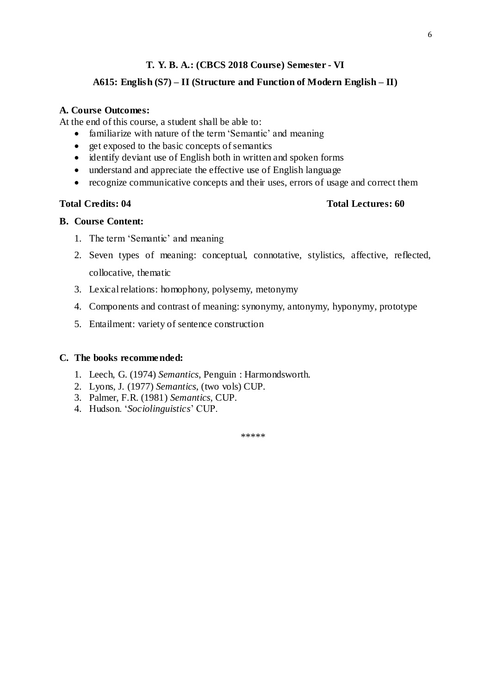### **A615: English (S7) – II (Structure and Function of Modern English – II)**

#### **A. Course Outcomes:**

At the end of this course, a student shall be able to:

- familiarize with nature of the term 'Semantic' and meaning
- get exposed to the basic concepts of semantics
- identify deviant use of English both in written and spoken forms
- understand and appreciate the effective use of English language
- recognize communicative concepts and their uses, errors of usage and correct them

#### **Total Credits: 04 Total Lectures: 60**

#### **B. Course Content:**

- 1. The term 'Semantic' and meaning
- 2. Seven types of meaning: conceptual, connotative, stylistics, affective, reflected, collocative, thematic
- 3. Lexical relations: homophony, polysemy, metonymy
- 4. Components and contrast of meaning: synonymy, antonymy, hyponymy, prototype
- 5. Entailment: variety of sentence construction

#### **C. The books recommended:**

- 1. Leech, G. (1974) *Semantics*, Penguin : Harmondsworth.
- 2. Lyons, J. (1977) *Semantics*, (two vols) CUP.
- 3. Palmer, F.R. (1981) *Semantics*, CUP.
- 4. Hudson. '*Sociolinguistics*' CUP.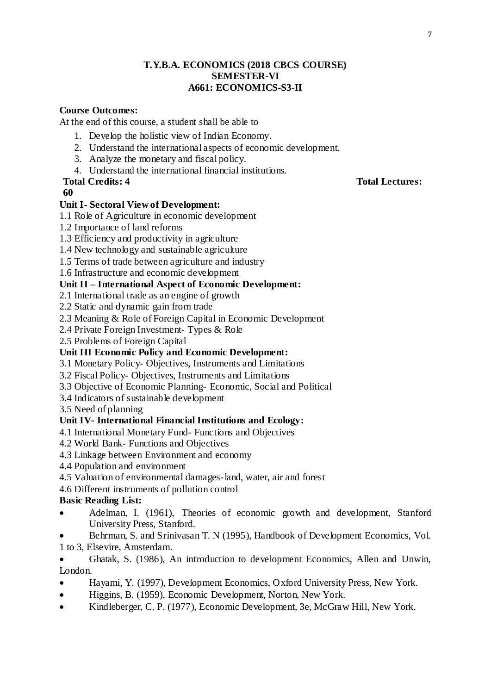## **T.Y.B.A. ECONOMICS (2018 CBCS COURSE) SEMESTER-VI A661: ECONOMICS-S3-II**

## **Course Outcomes:**

At the end of this course, a student shall be able to

- 1. Develop the holistic view of Indian Economy.
- 2. Understand the international aspects of economic development.
- 3. Analyze the monetary and fiscal policy.
- 4. Understand the international financial institutions.

#### **60**

# **Unit I- Sectoral View of Development:**

- 1.1 Role of Agriculture in economic development
- 1.2 Importance of land reforms
- 1.3 Efficiency and productivity in agriculture
- 1.4 New technology and sustainable agriculture
- 1.5 Terms of trade between agriculture and industry
- 1.6 Infrastructure and economic development

## **Unit II – International Aspect of Economic Development:**

- 2.1 International trade as an engine of growth
- 2.2 Static and dynamic gain from trade
- 2.3 Meaning & Role of Foreign Capital in Economic Development
- 2.4 Private Foreign Investment- Types & Role
- 2.5 Problems of Foreign Capital

## **Unit III Economic Policy and Economic Development:**

- 3.1 Monetary Policy- Objectives, Instruments and Limitations
- 3.2 Fiscal Policy- Objectives, Instruments and Limitations
- 3.3 Objective of Economic Planning- Economic, Social and Political
- 3.4 Indicators of sustainable development

3.5 Need of planning

## **Unit IV- International Financial Institutions and Ecology:**

- 4.1 International Monetary Fund- Functions and Objectives
- 4.2 World Bank- Functions and Objectives
- 4.3 Linkage between Environment and economy
- 4.4 Population and environment
- 4.5 Valuation of environmental damages-land, water, air and forest
- 4.6 Different instruments of pollution control

# **Basic Reading List:**

- Adelman, I. (1961), Theories of economic growth and development, Stanford University Press, Stanford.
- Behrman, S. and Srinivasan T. N (1995), Handbook of Development Economics, Vol. 1 to 3, Elsevire, Amsterdam.
- Ghatak, S. (1986), An introduction to development Economics, Allen and Unwin, London.
- Hayami, Y. (1997), Development Economics, Oxford University Press, New York.
- Higgins, B. (1959), Economic Development, Norton, New York.
- Kindleberger, C. P. (1977), Economic Development, 3e, McGraw Hill, New York.

### **Total Credits: 4 Total Lectures:**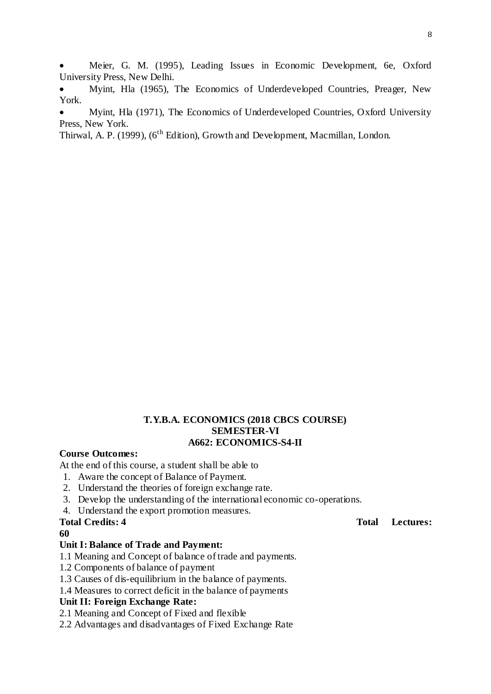Meier, G. M. (1995), Leading Issues in Economic Development, 6e, Oxford University Press, New Delhi.

 Myint, Hla (1965), The Economics of Underdeveloped Countries, Preager, New York.

 Myint, Hla (1971), The Economics of Underdeveloped Countries, Oxford University Press, New York.

Thirwal, A. P. (1999),  $(6^{th}$  Edition), Growth and Development, Macmillan, London.

## **T.Y.B.A. ECONOMICS (2018 CBCS COURSE) SEMESTER-VI A662: ECONOMICS-S4-II**

### **Course Outcomes:**

At the end of this course, a student shall be able to

- 1. Aware the concept of Balance of Payment.
- 2. Understand the theories of foreign exchange rate.
- 3. Develop the understanding of the international economic co-operations.
- 4. Understand the export promotion measures.

**60**

#### **Unit I: Balance of Trade and Payment:**

- 1.1 Meaning and Concept of balance of trade and payments.
- 1.2 Components of balance of payment
- 1.3 Causes of dis-equilibrium in the balance of payments.
- 1.4 Measures to correct deficit in the balance of payments

### **Unit II: Foreign Exchange Rate:**

- 2.1 Meaning and Concept of Fixed and flexible
- 2.2 Advantages and disadvantages of Fixed Exchange Rate

## **Total Credits: 4 Total Lectures:**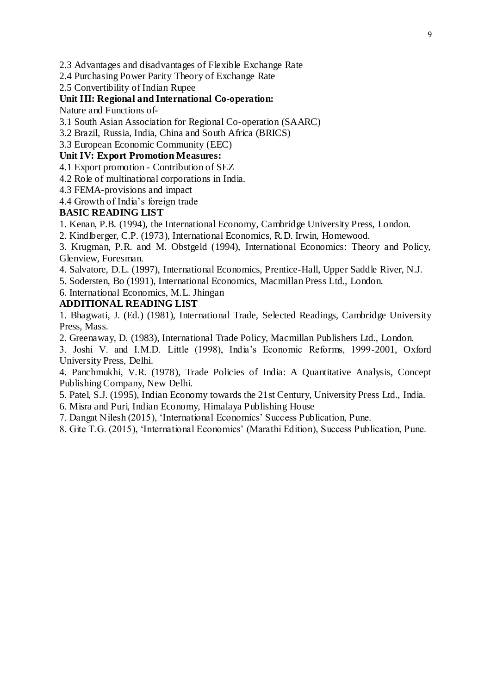2.3 Advantages and disadvantages of Flexible Exchange Rate

2.4 Purchasing Power Parity Theory of Exchange Rate

2.5 Convertibility of Indian Rupee

## **Unit III: Regional and International Co-operation:**

Nature and Functions of-

3.1 South Asian Association for Regional Co-operation (SAARC)

3.2 Brazil, Russia, India, China and South Africa (BRICS)

3.3 European Economic Community (EEC)

## **Unit IV: Export Promotion Measures:**

4.1 Export promotion - Contribution of SEZ

4.2 Role of multinational corporations in India.

4.3 FEMA-provisions and impact

4.4 Growth of India's foreign trade

# **BASIC READING LIST**

1. Kenan, P.B. (1994), the International Economy, Cambridge University Press, London.

2. Kindlberger, C.P. (1973), International Economics, R.D. Irwin, Homewood.

3. Krugman, P.R. and M. Obstgeld (1994), International Economics: Theory and Policy, Glenview, Foresman.

4. Salvatore, D.L. (1997), International Economics, Prentice-Hall, Upper Saddle River, N.J.

5. Sodersten, Bo (1991), International Economics, Macmillan Press Ltd., London.

6. International Economics, M.L. Jhingan

# **ADDITIONAL READING LIST**

1. Bhagwati, J. (Ed.) (1981), International Trade, Selected Readings, Cambridge University Press, Mass.

2. Greenaway, D. (1983), International Trade Policy, Macmillan Publishers Ltd., London.

3. Joshi V. and I.M.D. Little (1998), India's Economic Reforms, 1999-2001, Oxford University Press, Delhi.

4. Panchmukhi, V.R. (1978), Trade Policies of India: A Quantitative Analysis, Concept Publishing Company, New Delhi.

5. Patel, S.J. (1995), Indian Economy towards the 21st Century, University Press Ltd., India.

6. Misra and Puri, Indian Economy, Himalaya Publishing House

7. Dangat Nilesh (2015), 'International Economics' Success Publication, Pune.

8. Gite T.G. (2015), 'International Economics' (Marathi Edition), Success Publication, Pune.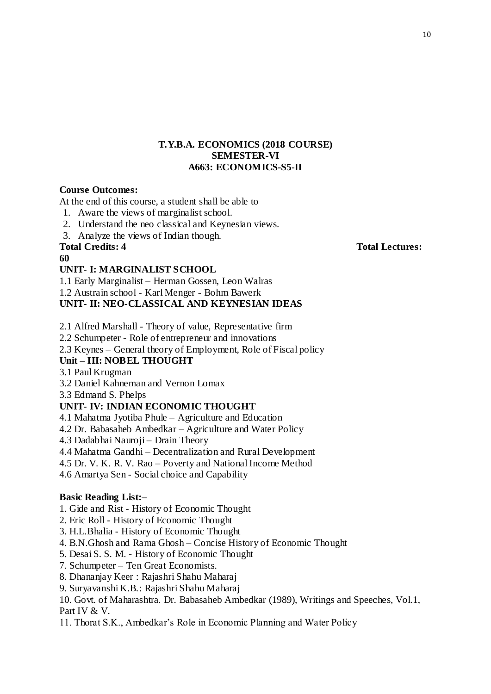## **T.Y.B.A. ECONOMICS (2018 COURSE) SEMESTER-VI A663: ECONOMICS-S5-II**

## **Course Outcomes:**

At the end of this course, a student shall be able to

- 1. Aware the views of marginalist school.
- 2. Understand the neo classical and Keynesian views.
- 3. Analyze the views of Indian though.

## **Total Credits: 4 Total Lectures:**

### **60**

## **UNIT- I: MARGINALIST SCHOOL**

1.1 Early Marginalist – Herman Gossen, Leon Walras

1.2 Austrain school - Karl Menger - Bohm Bawerk

## **UNIT- II: NEO-CLASSICAL AND KEYNESIAN IDEAS**

2.1 Alfred Marshall - Theory of value, Representative firm

2.2 Schumpeter - Role of entrepreneur and innovations

2.3 Keynes – General theory of Employment, Role of Fiscal policy

# **Unit – III: NOBEL THOUGHT**

3.1 Paul Krugman

3.2 Daniel Kahneman and Vernon Lomax

3.3 Edmand S. Phelps

## **UNIT- IV: INDIAN ECONOMIC THOUGHT**

4.1 Mahatma Jyotiba Phule – Agriculture and Education

4.2 Dr. Babasaheb Ambedkar – Agriculture and Water Policy

4.3 Dadabhai Nauroji – Drain Theory

4.4 Mahatma Gandhi – Decentralization and Rural Development

4.5 Dr. V. K. R. V. Rao – Poverty and National Income Method

4.6 Amartya Sen - Social choice and Capability

## **Basic Reading List:–**

1. Gide and Rist - History of Economic Thought

- 2. Eric Roll History of Economic Thought
- 3. H.L.Bhalia History of Economic Thought
- 4. B.N.Ghosh and Rama Ghosh Concise History of Economic Thought
- 5. Desai S. S. M. History of Economic Thought
- 7. Schumpeter Ten Great Economists.
- 8. Dhananjay Keer : Rajashri Shahu Maharaj
- 9. Suryavanshi K.B.: Rajashri Shahu Maharaj

10. Govt. of Maharashtra. Dr. Babasaheb Ambedkar (1989), Writings and Speeches, Vol.1, Part IV & V.

11. Thorat S.K., Ambedkar's Role in Economic Planning and Water Policy

10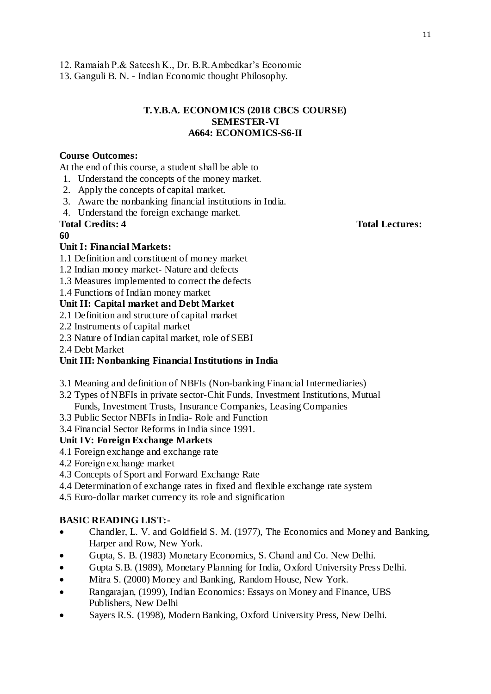13. Ganguli B. N. - Indian Economic thought Philosophy.

# **T.Y.B.A. ECONOMICS (2018 CBCS COURSE) SEMESTER-VI A664: ECONOMICS-S6-II**

# **Course Outcomes:**

At the end of this course, a student shall be able to

- 1. Understand the concepts of the money market.
- 2. Apply the concepts of capital market.
- 3. Aware the nonbanking financial institutions in India.
- 4. Understand the foreign exchange market.

# **60**

# **Unit I: Financial Markets:**

- 1.1 Definition and constituent of money market
- 1.2 Indian money market- Nature and defects
- 1.3 Measures implemented to correct the defects

1.4 Functions of Indian money market

# **Unit II: Capital market and Debt Market**

- 2.1 Definition and structure of capital market
- 2.2 Instruments of capital market
- 2.3 Nature of Indian capital market, role of SEBI
- 2.4 Debt Market

# **Unit III: Nonbanking Financial Institutions in India**

- 3.1 Meaning and definition of NBFIs (Non-banking Financial Intermediaries)
- 3.2 Types of NBFIs in private sector-Chit Funds, Investment Institutions, Mutual Funds, Investment Trusts, Insurance Companies, Leasing Companies
- 3.3 Public Sector NBFIs in India- Role and Function
- 3.4 Financial Sector Reforms in India since 1991.

# **Unit IV: Foreign Exchange Markets**

- 4.1 Foreign exchange and exchange rate
- 4.2 Foreign exchange market
- 4.3 Concepts of Sport and Forward Exchange Rate
- 4.4 Determination of exchange rates in fixed and flexible exchange rate system

4.5 Euro-dollar market currency its role and signification

# **BASIC READING LIST:-**

- Chandler, L. V. and Goldfield S. M. (1977), The Economics and Money and Banking, Harper and Row, New York.
- Gupta, S. B. (1983) Monetary Economics, S. Chand and Co. New Delhi.
- Gupta S.B. (1989), Monetary Planning for India, Oxford University Press Delhi.
- Mitra S. (2000) Money and Banking, Random House, New York.
- Rangarajan, (1999), Indian Economics: Essays on Money and Finance, UBS Publishers, New Delhi
- Sayers R.S. (1998), Modern Banking, Oxford University Press, New Delhi.

## **Total Credits: 4 Total Lectures:**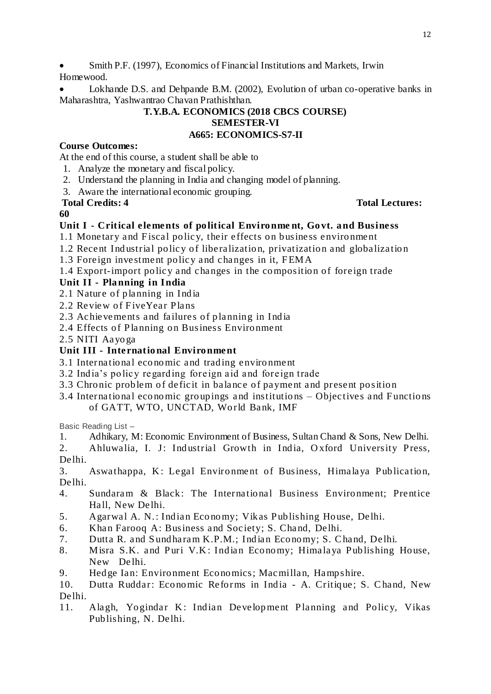Smith P.F. (1997), Economics of Financial Institutions and Markets, Irwin Homewood.

 Lokhande D.S. and Dehpande B.M. (2002), Evolution of urban co-operative banks in Maharashtra, Yashwantrao Chavan Prathishthan.

## **T.Y.B.A. ECONOMICS (2018 CBCS COURSE) SEMESTER-VI A665: ECONOMICS-S7-II**

# **Course Outcomes:**

At the end of this course, a student shall be able to

- 1. Analyze the monetary and fiscal policy.
- 2. Understand the planning in India and changing model of planning.
- 3. Aware the international economic grouping.

## **Total Credits: 4 Total Lectures:**

## **60**

# **Unit I - Critical elements of political Environme nt, Govt. and Business**

- 1.1 Monetary and Fiscal policy, their effects on business environment
- 1.2 Recent Industrial policy of liberalization, privatization and globalization
- 1.3 Foreign investment policy and changes in it, FEMA
- 1.4 Export-import policy and changes in the composition of foreign trade

# **Unit II - Planning in India**

- 2.1 Nature of planning in India
- 2.2 Review of FiveYear Plans
- 2.3 Achievements and failures of planning in India
- 2.4 Effects of Planning on Business Environment
- 2.5 NITI Aayoga

# **Unit III - International Environment**

- 3.1 International economic and trading environment
- 3.2 India's policy regarding foreign aid and foreign trade
- 3.3 Chronic problem of deficit in balance of payment and present position
- 3.4 International economic groupings and institutions Objectives and Functions of GATT, WTO, UNCTAD, World Bank, IMF

Basic Reading List –

- 1. Adhikary, M: Economic Environment of Business, Sultan Chand & Sons, New Delhi.
- 2. Ahluwalia, I. J: Industrial Growth in India, Oxford University Press, Delhi.

3. Aswathappa, K: Legal Environment of Business, Himalaya Publication, Delhi.

- 4. Sundaram & Black: The International Business Environment; Prentice Hall, New Delhi.
- 5. Agarwal A. N.: Indian Economy; Vikas Publishing House, Delhi.
- 6. Khan Farooq A: Business and Society; S. Chand, Delhi.
- 7. Dutta R. and Sundharam K.P.M.; Indian Economy; S. Chand, Delhi.
- 8. Misra S.K. and Puri V.K: Indian Economy; Himalaya Publishing House, New De lhi.
- 9. Hedge Ian: Environment Economics; Macmillan, Hampshire.
- 10. Dutta Ruddar: Economic Reforms in India A. Critique; S. C hand, New Delhi.
- 11. Alagh, Yogindar K: Indian Development Planning and Policy, Vikas Publishing, N. Delhi.